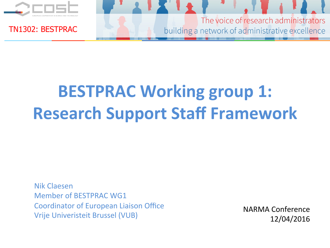

The voice of research administrators building a network of administrative excellence

# **BESTPRAC Working group 1: Research Support Staff Framework**

Nik Claesen Member of BESTPRAC WG1 Coordinator of European Liaison Office Vrije Univeristeit Brussel (VUB)

NARMA Conference 12/04/2016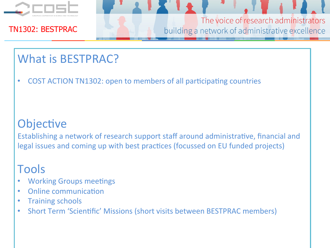

The voice of research administrators building a network of administrative excellence

### What is BESTPRAC?

COST ACTION TN1302: open to members of all participating countries

### Objective

Establishing a network of research support staff around administrative, financial and legal issues and coming up with best practices (focussed on EU funded projects)

### Tools

- **Working Groups meetings**
- Online communication
- **Training schools**
- Short Term 'Scientific' Missions (short visits between BESTPRAC members)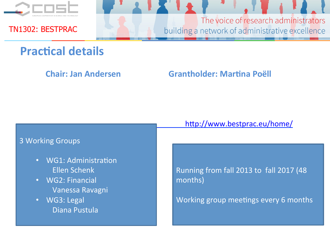

The voice of research administrators building a network of administrative excellence

### **Practical details**

#### **Chair: Jan Andersen Grantholder: Martina Poëll**

#### 3 Working Groups

- WG1: Administration Ellen Schenk
- WG2: Financial Vanessa Ravagni
- WG3: Legal Diana Pustula

http://www.bestprac.eu/home/

Running from fall 2013 to fall 2017 (48 months) 

Working group meetings every 6 months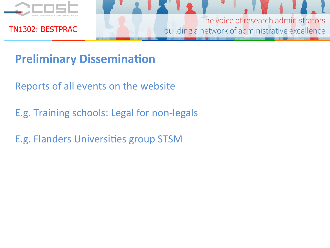

The voice of research administrators building a network of administrative excellence

### **Preliminary Dissemination**

Reports of all events on the website

- E.g. Training schools: Legal for non-legals
- E.g. Flanders Universities group STSM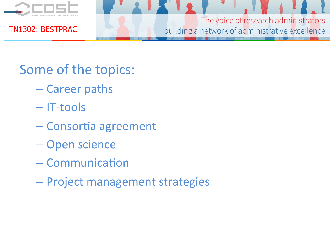

The voice of research administrators building a network of administrative excellence

Some of the topics:

- Career paths
- IT-tools
- Consortia agreement
- Open science
- $-$  Communication
- Project management strategies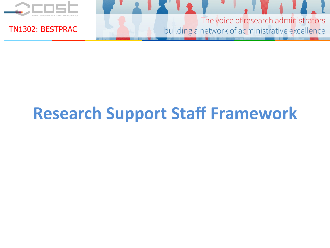

The voice of research administrators building a network of administrative excellence

# **Research Support Staff Framework**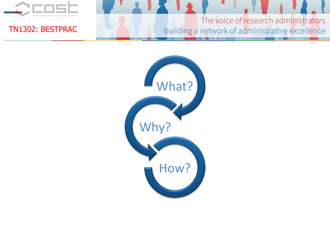

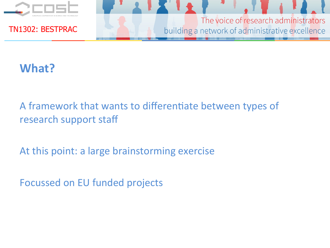

The voice of research administrators building a network of administrative excellence

### **What?**

A framework that wants to differentiate between types of research support staff

At this point: a large brainstorming exercise

Focussed on EU funded projects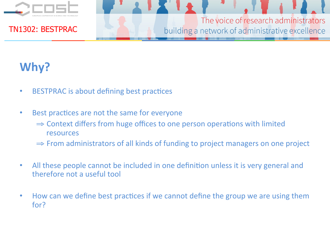

The voice of research administrators building a network of administrative excellence

### Why?

- BESTPRAC is about defining best practices
- Best practices are not the same for everyone
	- $\Rightarrow$  Context differs from huge offices to one person operations with limited resources
	- $\Rightarrow$  From administrators of all kinds of funding to project managers on one project
- All these people cannot be included in one definition unless it is very general and therefore not a useful tool
- How can we define best practices if we cannot define the group we are using them for?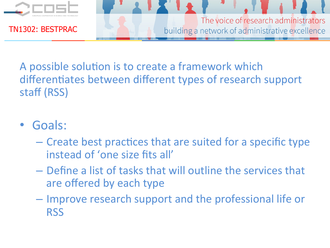

The voice of research administrators building a network of administrative excellence

A possible solution is to create a framework which differentiates between different types of research support staff (RSS)

### • Goals:

- $-$  Create best practices that are suited for a specific type instead of 'one size fits all'
- $-$  Define a list of tasks that will outline the services that are offered by each type
- $-$  Improve research support and the professional life or **RSS**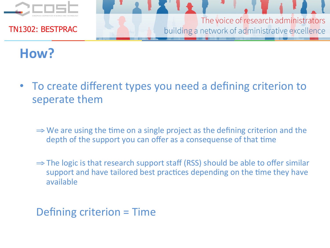

The voice of research administrators building a network of administrative excellence

## How?

- To create different types you need a defining criterion to seperate them
	- $\Rightarrow$  We are using the time on a single project as the defining criterion and the depth of the support you can offer as a consequense of that time
	- $\Rightarrow$  The logic is that research support staff (RSS) should be able to offer similar support and have tailored best practices depending on the time they have available

Defining criterion = Time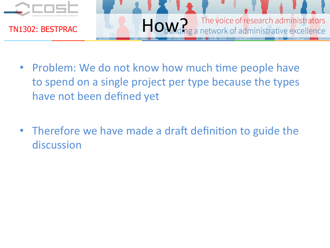

- Problem: We do not know how much time people have to spend on a single project per type because the types have not been defined yet
- Therefore we have made a draft definition to guide the discussion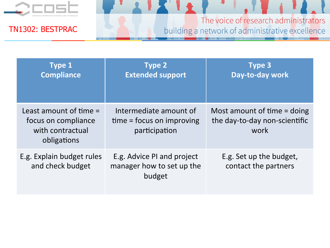

| <b>Type 1</b><br><b>Compliance</b>                                                 | <b>Type 2</b><br><b>Extended support</b>                               | <b>Type 3</b><br>Day-to-day work                                     |
|------------------------------------------------------------------------------------|------------------------------------------------------------------------|----------------------------------------------------------------------|
| Least amount of time $=$<br>focus on compliance<br>with contractual<br>obligations | Intermediate amount of<br>$time = focus on improving$<br>participation | Most amount of time = doing<br>the day-to-day non-scientific<br>work |
| E.g. Explain budget rules<br>and check budget                                      | E.g. Advice PI and project<br>manager how to set up the<br>budget      | E.g. Set up the budget,<br>contact the partners                      |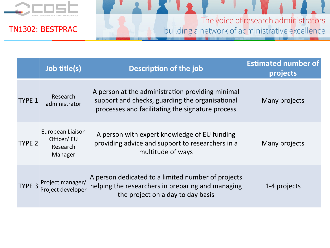

|                   | Job title(s)                                           | <b>Description of the job</b>                                                                                                                           | <b>Estimated number of</b><br>projects |
|-------------------|--------------------------------------------------------|---------------------------------------------------------------------------------------------------------------------------------------------------------|----------------------------------------|
| <b>TYPE 1</b>     | Research<br>administrator                              | A person at the administration providing minimal<br>support and checks, guarding the organisational<br>processes and facilitating the signature process | Many projects                          |
| TYPE <sub>2</sub> | European Liaison<br>Officer/ EU<br>Research<br>Manager | A person with expert knowledge of EU funding<br>providing advice and support to researchers in a<br>multitude of ways                                   | Many projects                          |
|                   | TYPE 3 Project manager/<br>Project developer           | A person dedicated to a limited number of projects<br>helping the researchers in preparing and managing<br>the project on a day to day basis            | 1-4 projects                           |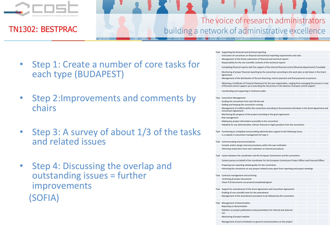

- Step 1: Create a number of core tasks for each type (BUDAPEST)
- Step 2: Improvements and comments by chairs
- Step 3: A survey of about 1/3 of the tasks and related issues
- Step 4: Discussing the overlap and outstanding issues = further improvements (SOFIA)

|  | Task Supporting the financial and technical reporting                                                                                                                                                                         |  |  |  |  |
|--|-------------------------------------------------------------------------------------------------------------------------------------------------------------------------------------------------------------------------------|--|--|--|--|
|  | Instruction of consortium on financial and technical reporting requirements and rules                                                                                                                                         |  |  |  |  |
|  | Management of the timely submission of financial and technical reports                                                                                                                                                        |  |  |  |  |
|  | Responsibility for the non-scientific contents of the technical reports                                                                                                                                                       |  |  |  |  |
|  | Completing financial reports with the support of the internal financial control (financial department) if available                                                                                                           |  |  |  |  |
|  | Monitoring of proper financial reporting by the consortium according to the work plan as laid down in the Grant<br>Agreement                                                                                                  |  |  |  |  |
|  | Management of the distribution of the pre-financing, interim payment and final payments to partners                                                                                                                           |  |  |  |  |
|  | Obtaining a Certificate of Financial Statement for the own organisation, ranging from managing the process in case<br>of financial control support up to executing the full process in the absence of project control support |  |  |  |  |
|  | Coordinating and supporting in 2nd level audits                                                                                                                                                                               |  |  |  |  |
|  |                                                                                                                                                                                                                               |  |  |  |  |
|  | Task Consortium Management                                                                                                                                                                                                    |  |  |  |  |
|  | Guiding the consortium from start till the end                                                                                                                                                                                |  |  |  |  |
|  | Getting and keeping the consortium running                                                                                                                                                                                    |  |  |  |  |
|  | Management of conflicts within the consortium according to the provisions laid down in the Grant Agreement and<br>Consortium Agreement                                                                                        |  |  |  |  |
|  | Monitoring the progress of the project according to the grant agreement                                                                                                                                                       |  |  |  |  |
|  | Risk management                                                                                                                                                                                                               |  |  |  |  |
|  | Making key project information accessible to the consortium                                                                                                                                                                   |  |  |  |  |
|  | Helpdesk for any administrative, ethical, financial or legal questions from the consortium                                                                                                                                    |  |  |  |  |
|  | Task Functioning as a helpdesk and providing administrative support to the following issues:                                                                                                                                  |  |  |  |  |
|  | Is a subtask in consortium management for type 3                                                                                                                                                                              |  |  |  |  |
|  |                                                                                                                                                                                                                               |  |  |  |  |
|  | Task Communicating internal procedures                                                                                                                                                                                        |  |  |  |  |
|  | Compile and/or design internal procedures within the own institution                                                                                                                                                          |  |  |  |  |
|  | Informing researchers from own institution on internal procedures                                                                                                                                                             |  |  |  |  |
|  |                                                                                                                                                                                                                               |  |  |  |  |
|  | Task Liaison between the coordinator and the European Commission and the consortium                                                                                                                                           |  |  |  |  |
|  | Contact person on behalf of the coordinator for the European Commission Project Officer and Financial Officer                                                                                                                 |  |  |  |  |
|  | Preparing non-reporting related guides for the consortium                                                                                                                                                                     |  |  |  |  |
|  | Informing the consortium on any project-related issues apart from reporting and project meetings                                                                                                                              |  |  |  |  |
|  |                                                                                                                                                                                                                               |  |  |  |  |
|  | Task Contracts management and archiving                                                                                                                                                                                       |  |  |  |  |
|  | Archiving all project documents                                                                                                                                                                                               |  |  |  |  |
|  | Check if all documents are present/completed/signed                                                                                                                                                                           |  |  |  |  |
|  | Task Support for amendments of the Grant Agreement and Consortium Agreement                                                                                                                                                   |  |  |  |  |
|  | Drafting of non-scientific texts for the amendment                                                                                                                                                                            |  |  |  |  |
|  | Management of the amendment procedure to be followed by the consortium                                                                                                                                                        |  |  |  |  |
|  | Task Management of dissemination                                                                                                                                                                                              |  |  |  |  |
|  | Reporting on dissemination                                                                                                                                                                                                    |  |  |  |  |
|  | Statistics on project publications and presentations for internal and external<br>use                                                                                                                                         |  |  |  |  |
|  | Monitoring of project website                                                                                                                                                                                                 |  |  |  |  |
|  |                                                                                                                                                                                                                               |  |  |  |  |
|  | Management of and contribution to general communications on the project                                                                                                                                                       |  |  |  |  |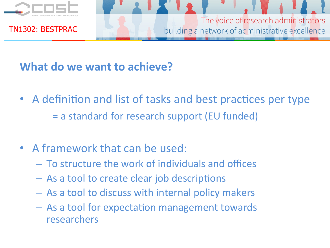

The voice of research administrators building a network of administrative excellence

### **What do we want to achieve?**

- A definition and list of tasks and best practices per type = a standard for research support (EU funded)
- A framework that can be used:
	- $-$  To structure the work of individuals and offices
	- $-$  As a tool to create clear job descriptions
	- $-$  As a tool to discuss with internal policy makers
	- $-$  As a tool for expectation management towards researchers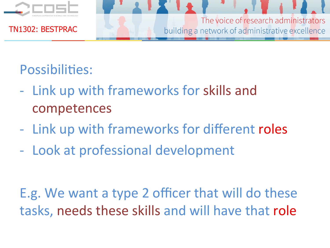

## Possibilities:

- Link up with frameworks for skills and competences
- Link up with frameworks for different roles
- Look at professional development

E.g. We want a type 2 officer that will do these tasks, needs these skills and will have that role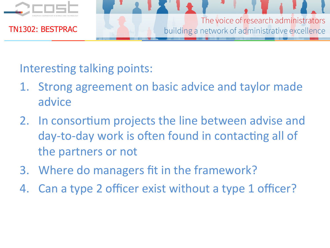

### Interesting talking points:

- 1. Strong agreement on basic advice and taylor made advice
- 2. In consortium projects the line between advise and day-to-day work is often found in contacting all of the partners or not
- 3. Where do managers fit in the framework?
- 4. Can a type 2 officer exist without a type 1 officer?